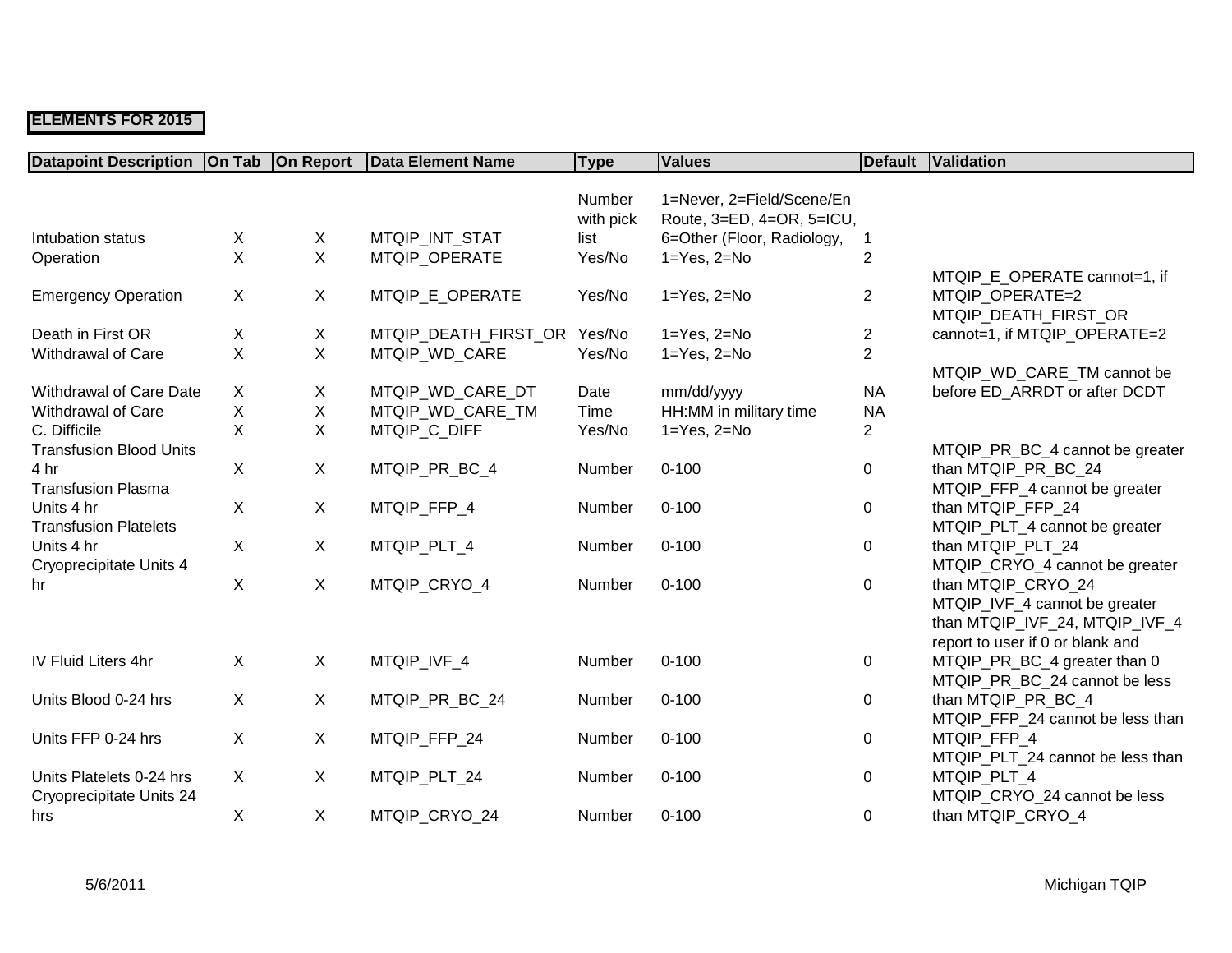## **ELEMENTS FOR 2015**

| <b>Datapoint Description   On Tab</b> |              | <b>On Report</b> | <b>Data Element Name</b> | <b>Type</b> | <b>Values</b>              | Default        | Validation                       |
|---------------------------------------|--------------|------------------|--------------------------|-------------|----------------------------|----------------|----------------------------------|
|                                       |              |                  |                          |             |                            |                |                                  |
|                                       |              |                  |                          | Number      | 1=Never, 2=Field/Scene/En  |                |                                  |
|                                       |              |                  |                          | with pick   | Route, 3=ED, 4=OR, 5=ICU,  |                |                                  |
| Intubation status                     | X            | X                | MTQIP_INT_STAT           | list        | 6=Other (Floor, Radiology, |                |                                  |
| Operation                             | X            | $\mathsf{X}$     | MTQIP OPERATE            | Yes/No      | $1 = Yes, 2 = No$          | $\overline{2}$ |                                  |
|                                       |              |                  |                          |             |                            |                | MTQIP_E_OPERATE cannot=1, if     |
| <b>Emergency Operation</b>            | $\mathsf{X}$ | X                | MTQIP_E_OPERATE          | Yes/No      | $1 = Yes, 2 = No$          | $\overline{2}$ | MTQIP OPERATE=2                  |
|                                       |              |                  |                          |             |                            |                | MTQIP_DEATH_FIRST_OR             |
| Death in First OR                     | X            | X                | MTQIP_DEATH_FIRST_OR     | Yes/No      | $1 = Yes, 2 = No$          | $\overline{c}$ | cannot=1, if MTQIP_OPERATE=2     |
| Withdrawal of Care                    | X            | X                | MTQIP_WD_CARE            | Yes/No      | $1 = Yes, 2 = No$          | $\overline{2}$ |                                  |
|                                       |              |                  |                          |             |                            |                | MTQIP_WD_CARE_TM cannot be       |
| Withdrawal of Care Date               | X            | X                | MTQIP_WD_CARE_DT         | Date        | mm/dd/yyyy                 | <b>NA</b>      | before ED ARRDT or after DCDT    |
| Withdrawal of Care                    | X            | X                | MTQIP_WD_CARE_TM         | Time        | HH:MM in military time     | <b>NA</b>      |                                  |
| C. Difficile                          | X            | X                | MTQIP_C_DIFF             | Yes/No      | $1 = Yes, 2 = No$          | $\overline{c}$ |                                  |
| <b>Transfusion Blood Units</b>        |              |                  |                          |             |                            |                | MTQIP_PR_BC_4 cannot be greater  |
| 4 hr                                  | $\mathsf{X}$ | X                | MTQIP_PR_BC_4            | Number      | $0 - 100$                  | $\mathbf 0$    | than MTQIP_PR_BC_24              |
| <b>Transfusion Plasma</b>             |              |                  |                          |             |                            |                | MTQIP_FFP_4 cannot be greater    |
| Units 4 hr                            | $\mathsf{X}$ | X                | MTQIP_FFP_4              | Number      | $0 - 100$                  | 0              | than MTQIP_FFP_24                |
| <b>Transfusion Platelets</b>          |              |                  |                          |             |                            |                | MTQIP_PLT_4 cannot be greater    |
| Units 4 hr                            | $\mathsf{X}$ | X                | MTQIP_PLT_4              | Number      | $0 - 100$                  | $\mathbf 0$    | than MTQIP_PLT_24                |
| Cryoprecipitate Units 4               |              |                  |                          |             |                            |                | MTQIP_CRYO_4 cannot be greater   |
| hr                                    | $\mathsf{X}$ | $\mathsf{X}$     | MTQIP_CRYO_4             | Number      | $0 - 100$                  | 0              | than MTQIP_CRYO_24               |
|                                       |              |                  |                          |             |                            |                | MTQIP_IVF_4 cannot be greater    |
|                                       |              |                  |                          |             |                            |                | than MTQIP_IVF_24, MTQIP_IVF_4   |
|                                       |              |                  |                          |             |                            |                | report to user if 0 or blank and |
| <b>IV Fluid Liters 4hr</b>            | $\mathsf{X}$ | X                | MTQIP_IVF_4              | Number      | $0 - 100$                  | 0              | MTQIP_PR_BC_4 greater than 0     |
|                                       |              |                  |                          |             |                            |                | MTQIP_PR_BC_24 cannot be less    |
| Units Blood 0-24 hrs                  | X            | X                | MTQIP_PR_BC_24           | Number      | $0 - 100$                  | 0              | than MTQIP_PR_BC_4               |
|                                       |              |                  |                          |             |                            |                | MTQIP_FFP_24 cannot be less than |
| Units FFP 0-24 hrs                    | $\mathsf{X}$ | X                | MTQIP_FFP_24             | Number      | $0 - 100$                  | 0              | MTQIP_FFP_4                      |
|                                       |              |                  |                          |             |                            |                | MTQIP_PLT_24 cannot be less than |
| Units Platelets 0-24 hrs              | X            | X                | MTQIP_PLT_24             | Number      | $0 - 100$                  | 0              | MTQIP_PLT_4                      |
| Cryoprecipitate Units 24              |              |                  |                          |             |                            |                | MTQIP_CRYO_24 cannot be less     |
| hrs                                   | X            | X                | MTQIP CRYO 24            | Number      | $0 - 100$                  | $\mathbf 0$    | than MTQIP_CRYO_4                |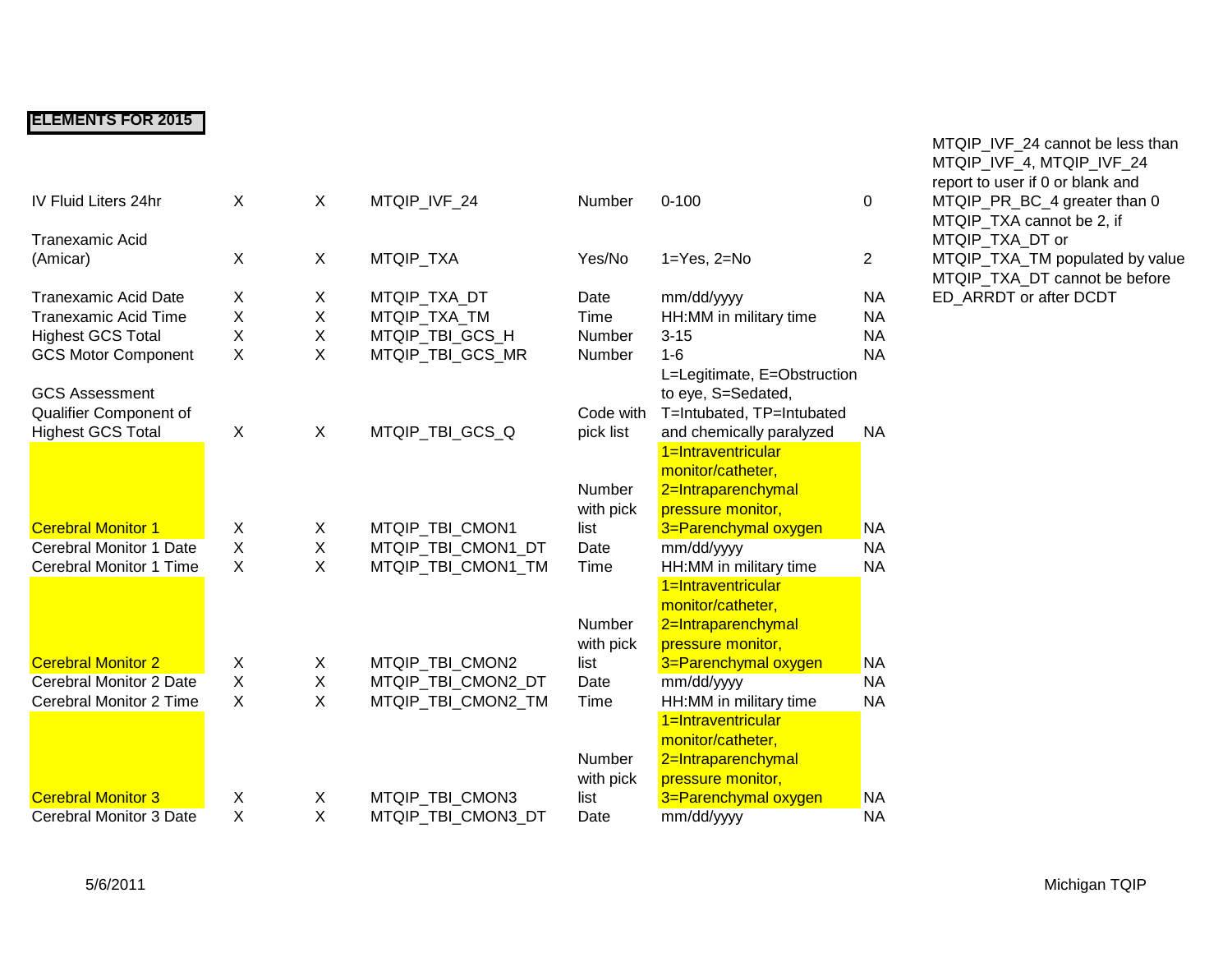## **ELEMENTS FOR 2015**

| IV Fluid Liters 24hr        | X       | X           | MTQIP_IVF_24       | Number    | $0 - 100$                   | $\mathbf 0$    |
|-----------------------------|---------|-------------|--------------------|-----------|-----------------------------|----------------|
| <b>Tranexamic Acid</b>      |         |             |                    |           |                             |                |
| (Amicar)                    | X       | X           | MTQIP_TXA          | Yes/No    | $1 = Yes$ , $2 = No$        | $\overline{2}$ |
| <b>Tranexamic Acid Date</b> | X       | X           | MTQIP_TXA_DT       | Date      | mm/dd/yyyy                  | <b>NA</b>      |
| <b>Tranexamic Acid Time</b> | X       | X           | MTQIP_TXA_TM       | Time      | HH:MM in military time      | <b>NA</b>      |
| <b>Highest GCS Total</b>    | X       | $\mathsf X$ | MTQIP_TBI_GCS_H    | Number    | $3 - 15$                    | <b>NA</b>      |
| <b>GCS Motor Component</b>  | X       | X           | MTQIP TBI GCS MR   | Number    | $1-6$                       | <b>NA</b>      |
|                             |         |             |                    |           | L=Legitimate, E=Obstruction |                |
| <b>GCS Assessment</b>       |         |             |                    |           | to eye, S=Sedated,          |                |
| Qualifier Component of      |         |             |                    | Code with | T=Intubated, TP=Intubated   |                |
| <b>Highest GCS Total</b>    | X       | X           | MTQIP_TBI_GCS_Q    | pick list | and chemically paralyzed    | <b>NA</b>      |
|                             |         |             |                    |           | 1=Intraventricular          |                |
|                             |         |             |                    |           | monitor/catheter,           |                |
|                             |         |             |                    | Number    | 2=Intraparenchymal          |                |
|                             |         |             |                    | with pick | pressure monitor,           |                |
| <b>Cerebral Monitor 1</b>   | X       | X           | MTQIP_TBI_CMON1    | list      | 3=Parenchymal oxygen        | <b>NA</b>      |
| Cerebral Monitor 1 Date     | $\sf X$ | Χ           | MTQIP TBI CMON1 DT | Date      | mm/dd/yyyy                  | <b>NA</b>      |
| Cerebral Monitor 1 Time     | X       | X           | MTQIP_TBI_CMON1_TM | Time      | HH:MM in military time      | <b>NA</b>      |
|                             |         |             |                    |           | 1=Intraventricular          |                |
|                             |         |             |                    |           | monitor/catheter,           |                |
|                             |         |             |                    | Number    | 2=Intraparenchymal          |                |
|                             |         |             |                    | with pick | pressure monitor,           |                |
| <b>Cerebral Monitor 2</b>   | X       | X           | MTQIP_TBI_CMON2    | list      | 3=Parenchymal oxygen        | <b>NA</b>      |
| Cerebral Monitor 2 Date     | X       | X           | MTQIP_TBI_CMON2_DT | Date      | mm/dd/yyyy                  | <b>NA</b>      |
| Cerebral Monitor 2 Time     | X       | X           | MTQIP_TBI_CMON2_TM | Time      | HH:MM in military time      | <b>NA</b>      |
|                             |         |             |                    |           | 1=Intraventricular          |                |
|                             |         |             |                    |           | monitor/catheter,           |                |
|                             |         |             |                    | Number    | 2=Intraparenchymal          |                |
|                             |         |             |                    | with pick | pressure monitor,           |                |
| <b>Cerebral Monitor 3</b>   | X       | X           | MTQIP_TBI_CMON3    | list      | 3=Parenchymal oxygen        | <b>NA</b>      |
| Cerebral Monitor 3 Date     | X       | X           | MTQIP_TBI_CMON3_DT | Date      | mm/dd/yyyy                  | <b>NA</b>      |
|                             |         |             |                    |           |                             |                |

MTQIP\_IVF\_24 cannot be less than MTQIP\_IVF\_4, MTQIP\_IVF\_24 report to user if 0 or blank and MTQIP\_PR\_BC\_4 greater than 0 MTQIP\_TXA cannot be 2, if MTQIP\_TXA\_DT or MTQIP\_TXA\_TM populated by value MTQIP\_TXA\_DT cannot be before ED\_ARRDT or after DCDT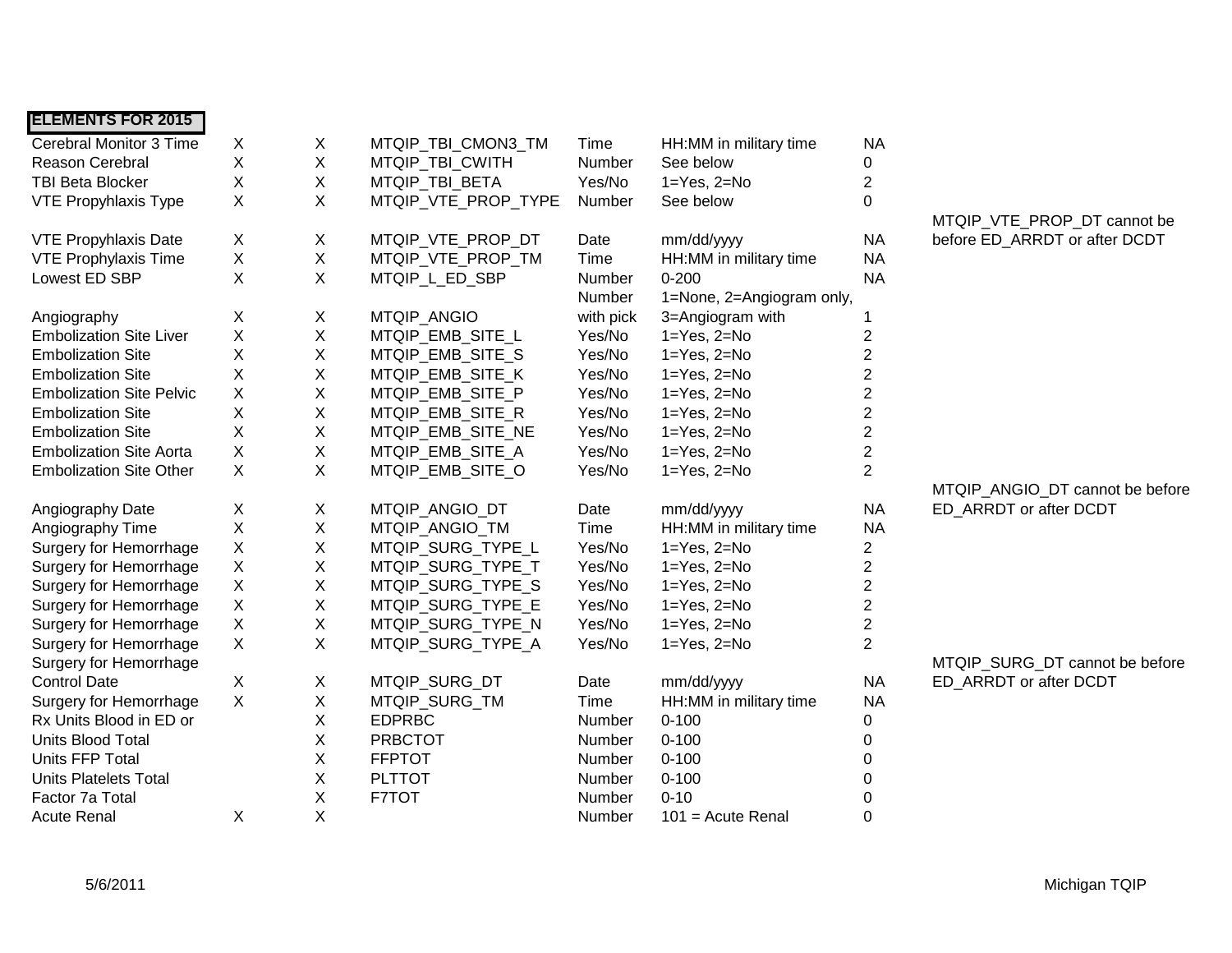| <b>ELEMENTS FOR 2015</b>        |             |   |                     |           |                           |                         |                                 |
|---------------------------------|-------------|---|---------------------|-----------|---------------------------|-------------------------|---------------------------------|
| <b>Cerebral Monitor 3 Time</b>  | X           | X | MTQIP_TBI_CMON3_TM  | Time      | HH:MM in military time    | <b>NA</b>               |                                 |
| Reason Cerebral                 | X           | Χ | MTQIP_TBI_CWITH     | Number    | See below                 | $\pmb{0}$               |                                 |
| <b>TBI Beta Blocker</b>         | X           | X | MTQIP_TBI_BETA      | Yes/No    | $1 = Yes, 2 = No$         | $\overline{c}$          |                                 |
| <b>VTE Propyhlaxis Type</b>     | X           | X | MTQIP_VTE_PROP_TYPE | Number    | See below                 | 0                       |                                 |
|                                 |             |   |                     |           |                           |                         | MTQIP_VTE_PROP_DT cannot be     |
| <b>VTE Propyhlaxis Date</b>     | X           | X | MTQIP_VTE_PROP_DT   | Date      | mm/dd/yyyy                | <b>NA</b>               | before ED_ARRDT or after DCDT   |
| VTE Prophylaxis Time            | X           | Χ | MTQIP_VTE_PROP_TM   | Time      | HH:MM in military time    | <b>NA</b>               |                                 |
| Lowest ED SBP                   | X           | X | MTQIP_L_ED_SBP      | Number    | $0 - 200$                 | <b>NA</b>               |                                 |
|                                 |             |   |                     | Number    | 1=None, 2=Angiogram only, |                         |                                 |
| Angiography                     | X           | X | MTQIP_ANGIO         | with pick | 3=Angiogram with          |                         |                                 |
| <b>Embolization Site Liver</b>  | X           | Χ | MTQIP_EMB_SITE_L    | Yes/No    | $1 = Yes, 2 = No$         | 2                       |                                 |
| <b>Embolization Site</b>        | X           | X | MTQIP_EMB_SITE_S    | Yes/No    | $1 = Yes, 2 = No$         | $\overline{\mathbf{c}}$ |                                 |
| <b>Embolization Site</b>        | Χ           | Χ | MTQIP_EMB_SITE_K    | Yes/No    | $1 = Yes, 2 = No$         | $\overline{\mathbf{c}}$ |                                 |
| <b>Embolization Site Pelvic</b> | Χ           | Χ | MTQIP_EMB_SITE_P    | Yes/No    | $1 = Yes, 2 = No$         | $\overline{\mathbf{c}}$ |                                 |
| <b>Embolization Site</b>        | Χ           | Χ | MTQIP_EMB_SITE_R    | Yes/No    | $1 = Yes, 2 = No$         | $\overline{\mathbf{c}}$ |                                 |
| <b>Embolization Site</b>        | Χ           | Χ | MTQIP_EMB_SITE_NE   | Yes/No    | $1 = Yes, 2 = No$         | $\overline{\mathbf{c}}$ |                                 |
| <b>Embolization Site Aorta</b>  | Χ           | X | MTQIP_EMB_SITE_A    | Yes/No    | $1 = Yes, 2 = No$         | 2                       |                                 |
| <b>Embolization Site Other</b>  | X           | X | MTQIP_EMB_SITE_O    | Yes/No    | $1 = Yes, 2 = No$         | $\overline{2}$          |                                 |
|                                 |             |   |                     |           |                           |                         | MTQIP_ANGIO_DT cannot be before |
| Angiography Date                | X           | X | MTQIP ANGIO DT      | Date      | mm/dd/yyyy                | <b>NA</b>               | ED ARRDT or after DCDT          |
| Angiography Time                | $\mathsf X$ | Χ | MTQIP ANGIO TM      | Time      | HH:MM in military time    | <b>NA</b>               |                                 |
| <b>Surgery for Hemorrhage</b>   | $\mathsf X$ | X | MTQIP_SURG_TYPE_L   | Yes/No    | $1 = Yes, 2 = No$         | $\overline{c}$          |                                 |
| <b>Surgery for Hemorrhage</b>   | $\mathsf X$ | Χ | MTQIP_SURG_TYPE_T   | Yes/No    | $1 = Yes, 2 = No$         | $\overline{\mathbf{c}}$ |                                 |
| Surgery for Hemorrhage          | X           | Χ | MTQIP_SURG_TYPE_S   | Yes/No    | $1 = Yes$ , $2 = No$      | $\overline{c}$          |                                 |
| Surgery for Hemorrhage          | X           | Χ | MTQIP_SURG_TYPE_E   | Yes/No    | $1 = Yes, 2 = No$         | $\overline{2}$          |                                 |
| <b>Surgery for Hemorrhage</b>   | $\mathsf X$ | X | MTQIP_SURG_TYPE_N   | Yes/No    | $1 = Yes, 2 = No$         | $\overline{2}$          |                                 |
| Surgery for Hemorrhage          | X           | Χ | MTQIP_SURG_TYPE_A   | Yes/No    | $1 = Yes, 2 = No$         | $\overline{2}$          |                                 |
| Surgery for Hemorrhage          |             |   |                     |           |                           |                         | MTQIP_SURG_DT cannot be before  |
| <b>Control Date</b>             | X           | X | MTQIP_SURG_DT       | Date      | mm/dd/yyyy                | <b>NA</b>               | ED ARRDT or after DCDT          |
| <b>Surgery for Hemorrhage</b>   | $\mathsf X$ | X | MTQIP_SURG_TM       | Time      | HH:MM in military time    | <b>NA</b>               |                                 |
| Rx Units Blood in ED or         |             | Χ | <b>EDPRBC</b>       | Number    | $0 - 100$                 | 0                       |                                 |
| Units Blood Total               |             | X | <b>PRBCTOT</b>      | Number    | $0 - 100$                 | 0                       |                                 |
| Units FFP Total                 |             | X | <b>FFPTOT</b>       | Number    | $0 - 100$                 | 0                       |                                 |
| <b>Units Platelets Total</b>    |             | Χ | <b>PLTTOT</b>       | Number    | $0 - 100$                 | 0                       |                                 |
| Factor 7a Total                 |             | X | F7TOT               | Number    | $0 - 10$                  | $\mathbf 0$             |                                 |
| <b>Acute Renal</b>              | X           | X |                     | Number    | $101$ = Acute Renal       | $\Omega$                |                                 |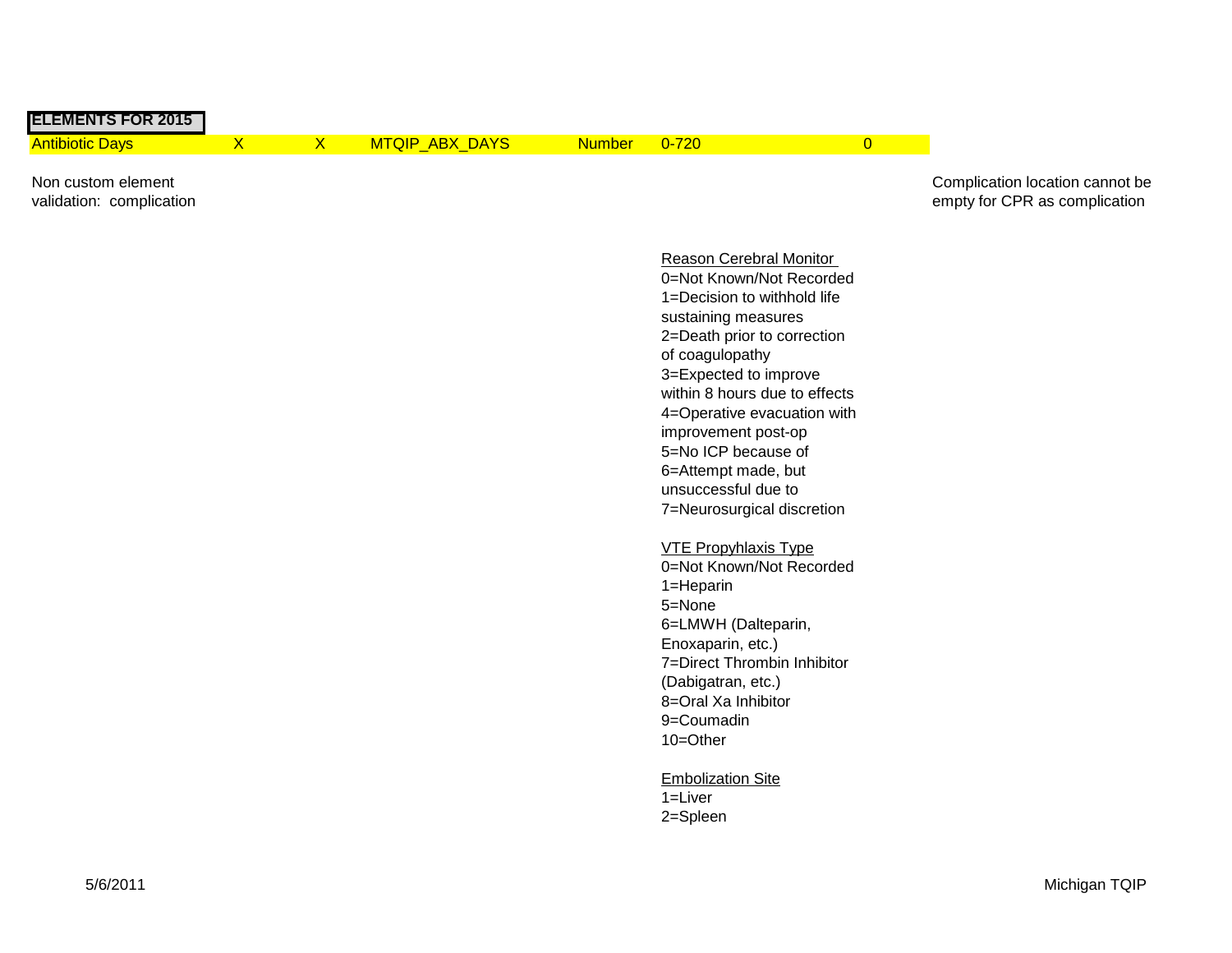| <b>ELEMENTS FOR 2015</b>                       |   |            |                |              |  |                                                                  |
|------------------------------------------------|---|------------|----------------|--------------|--|------------------------------------------------------------------|
| <b>Antibiotic Davs</b>                         | x | <u>x .</u> | MTQIP ABX DAYS | Number 0-720 |  |                                                                  |
| Non custom element<br>validation: complication |   |            |                |              |  | Complication location cannot be<br>empty for CPR as complication |

Reason Cerebral Monitor 0=Not Known/Not Recorded 1=Decision to withhold life sustaining measures 2=Death prior to correction of coagulopathy 3=Expected to improve within 8 hours due to effects 4=Operative evacuation with improvement post-op 5=No ICP because of 6=Attempt made, but unsuccessful due to 7=Neurosurgical discretion

VTE Propyhlaxis Type 0=Not Known/Not Recorded 1=Heparin 5=None 6=LMWH (Dalteparin, Enoxaparin, etc.) 7=Direct Thrombin Inhibitor (Dabigatran, etc.) 8=Oral Xa Inhibitor 9=Coumadin 10=Other

Embolization Site 1=Liver 2=Spleen